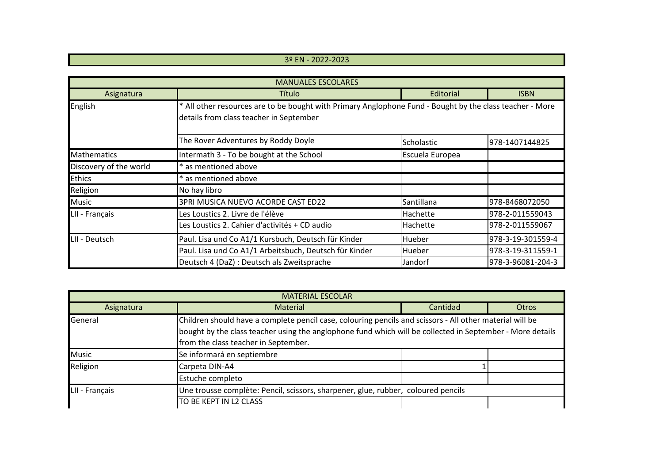## 3º EN - 2022-2023

| <b>MANUALES ESCOLARES</b> |                                                                                                                                                     |                 |                   |  |  |
|---------------------------|-----------------------------------------------------------------------------------------------------------------------------------------------------|-----------------|-------------------|--|--|
| Asignatura                | Título                                                                                                                                              | Editorial       | <b>ISBN</b>       |  |  |
| English                   | * All other resources are to be bought with Primary Anglophone Fund - Bought by the class teacher - More<br>details from class teacher in September |                 |                   |  |  |
|                           | The Rover Adventures by Roddy Doyle                                                                                                                 | Scholastic      | 978-1407144825    |  |  |
| Mathematics               | Intermath 3 - To be bought at the School                                                                                                            | Escuela Europea |                   |  |  |
| Discovery of the world    | * as mentioned above                                                                                                                                |                 |                   |  |  |
| <b>Ethics</b>             | * as mentioned above                                                                                                                                |                 |                   |  |  |
| Religion                  | No hay libro                                                                                                                                        |                 |                   |  |  |
| <b>Music</b>              | 3PRI MUSICA NUEVO ACORDE CAST ED22                                                                                                                  | Santillana      | 978-8468072050    |  |  |
| LII - Français            | Les Loustics 2. Livre de l'élève                                                                                                                    | Hachette        | 978-2-011559043   |  |  |
|                           | Les Loustics 2. Cahier d'activités + CD audio                                                                                                       | <b>Hachette</b> | 978-2-011559067   |  |  |
| LII - Deutsch             | Paul. Lisa und Co A1/1 Kursbuch, Deutsch für Kinder                                                                                                 | Hueber          | 978-3-19-301559-4 |  |  |
|                           | Paul. Lisa und Co A1/1 Arbeitsbuch, Deutsch für Kinder                                                                                              | Hueber          | 978-3-19-311559-1 |  |  |
|                           | Deutsch 4 (DaZ) : Deutsch als Zweitsprache                                                                                                          | Jandorf         | 978-3-96081-204-3 |  |  |

| <b>MATERIAL ESCOLAR</b> |                                                                                                                                                                                                                                                               |          |       |  |  |
|-------------------------|---------------------------------------------------------------------------------------------------------------------------------------------------------------------------------------------------------------------------------------------------------------|----------|-------|--|--|
| Asignatura              | <b>Material</b>                                                                                                                                                                                                                                               | Cantidad | Otros |  |  |
| General                 | Children should have a complete pencil case, colouring pencils and scissors - All other material will be<br>bought by the class teacher using the anglophone fund which will be collected in September - More details<br>from the class teacher in September. |          |       |  |  |
| <b>Music</b>            | Se informará en septiembre                                                                                                                                                                                                                                    |          |       |  |  |
| Religion                | Carpeta DIN-A4                                                                                                                                                                                                                                                |          |       |  |  |
|                         | Estuche completo                                                                                                                                                                                                                                              |          |       |  |  |
| LII - Français          | Une trousse complète: Pencil, scissors, sharpener, glue, rubber, coloured pencils                                                                                                                                                                             |          |       |  |  |
|                         | TO BE KEPT IN L2 CLASS                                                                                                                                                                                                                                        |          |       |  |  |